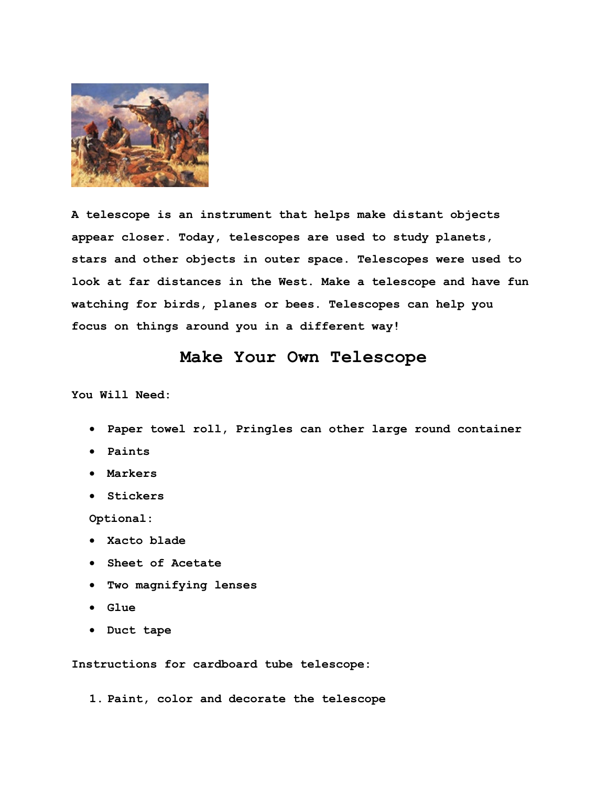

**A telescope is an instrument that helps make distant objects appear closer. Today, telescopes are used to study planets, stars and other objects in outer space. Telescopes were used to look at far distances in the West. Make a telescope and have fun watching for birds, planes or bees. Telescopes can help you focus on things around you in a different way!**

## **Make Your Own Telescope**

**You Will Need:** 

- **Paper towel roll, Pringles can other large round container**
- **Paints**
- **Markers**
- **Stickers**

**Optional:**

- **Xacto blade**
- **Sheet of Acetate**
- **Two magnifying lenses**
- **Glue**
- **Duct tape**

**Instructions for cardboard tube telescope:**

**1. Paint, color and decorate the telescope**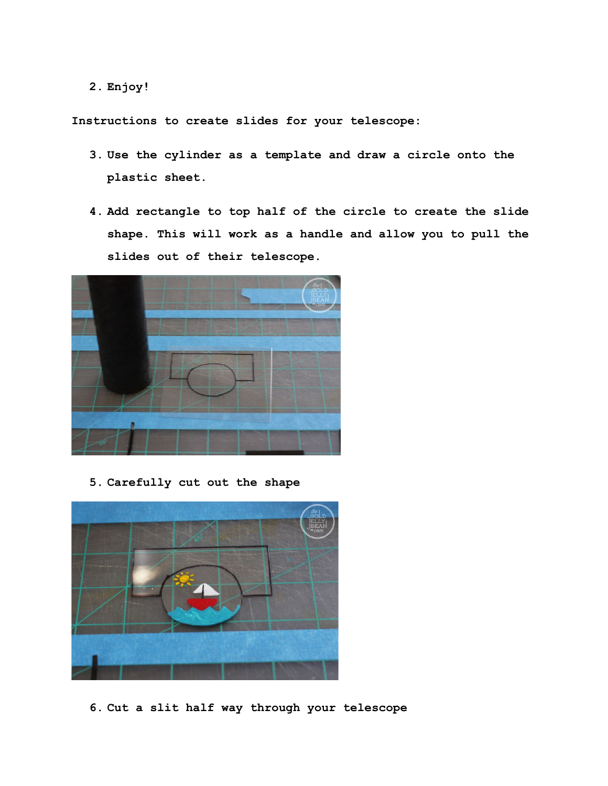**2. Enjoy!**

**Instructions to create slides for your telescope:**

- **3. Use the cylinder as a template and draw a circle onto the plastic sheet.**
- **4. Add rectangle to top half of the circle to create the slide shape. This will work as a handle and allow you to pull the slides out of their telescope.**



**5. Carefully cut out the shape**



**6. Cut a slit half way through your telescope**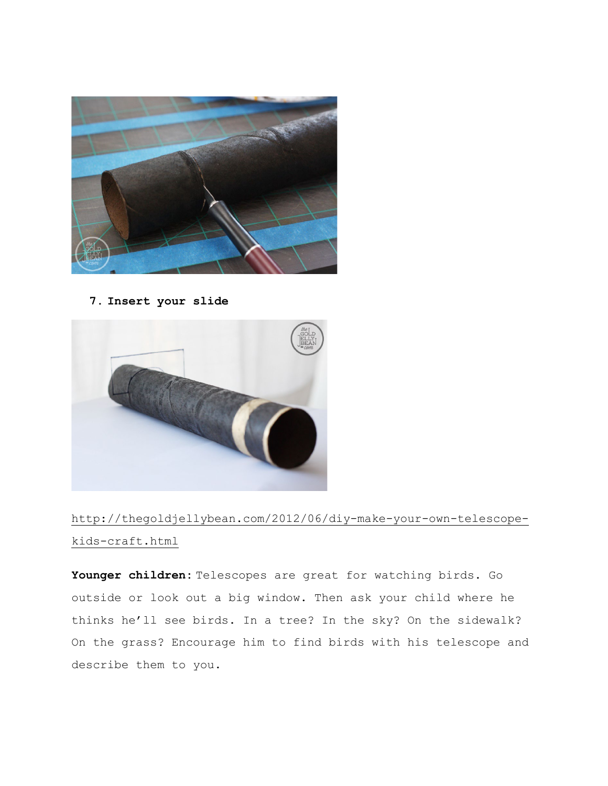

**7. Insert your slide** 



[http://thegoldjellybean.com/2012/06/diy-make-your-own-telescope](http://thegoldjellybean.com/2012/06/diy-make-your-own-telescope-kids-craft.html)[kids-craft.html](http://thegoldjellybean.com/2012/06/diy-make-your-own-telescope-kids-craft.html)

**Younger children:** Telescopes are great for watching birds. Go outside or look out a big window. Then ask your child where he thinks he'll see birds. In a tree? In the sky? On the sidewalk? On the grass? Encourage him to find birds with his telescope and describe them to you.